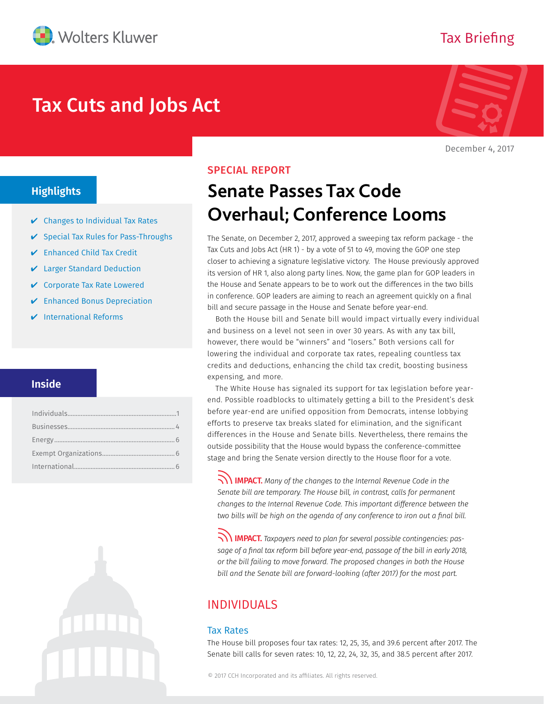

# Tax Cuts and Jobs Act



Tax Briefing

December 4, 2017

# **Highlights**

- $\vee$  Changes to Individual Tax Rates
- ✔ Special Tax Rules for Pass-Throughs
- ✔ Enhanced Child Tax Credit
- ✔ Larger Standard Deduction
- ✔ Corporate Tax Rate Lowered
- ✔ Enhanced Bonus Depreciation
- $\nu$  International Reforms

# **Inside**

# SPECIAL REPORT

# **Senate Passes Tax Code Overhaul; Conference Looms**

The Senate, on December 2, 2017, approved a sweeping tax reform package - the Tax Cuts and Jobs Act (HR 1) - by a vote of 51 to 49, moving the GOP one step closer to achieving a signature legislative victory. The House previously approved its version of HR 1, also along party lines. Now, the game plan for GOP leaders in the House and Senate appears to be to work out the differences in the two bills in conference. GOP leaders are aiming to reach an agreement quickly on a final bill and secure passage in the House and Senate before year-end.

Both the House bill and Senate bill would impact virtually every individual and business on a level not seen in over 30 years. As with any tax bill, however, there would be "winners" and "losers." Both versions call for lowering the individual and corporate tax rates, repealing countless tax credits and deductions, enhancing the child tax credit, boosting business expensing, and more.

The White House has signaled its support for tax legislation before yearend. Possible roadblocks to ultimately getting a bill to the President's desk before year-end are unified opposition from Democrats, intense lobbying efforts to preserve tax breaks slated for elimination, and the significant differences in the House and Senate bills. Nevertheless, there remains the outside possibility that the House would bypass the conference-committee stage and bring the Senate version directly to the House floor for a vote.

IMPACT. *Many of the changes to the Internal Revenue Code in the Senate bill are temporary. The House bill, in contrast, calls for permanent changes to the Internal Revenue Code. This important difference between the two bills will be high on the agenda of any conference to iron out a final bill.*

IMPACT. *Taxpayers need to plan for several possible contingencies: pas*sage of a final tax reform bill before year-end, passage of the bill in early 2018, *or the bill failing to move forward. The proposed changes in both the House bill and the Senate bill are forward-looking (after 2017) for the most part.*

# INDIVIDUALS

#### Tax Rates

The House bill proposes four tax rates: 12, 25, 35, and 39.6 percent after 2017. The Senate bill calls for seven rates: 10, 12, 22, 24, 32, 35, and 38.5 percent after 2017.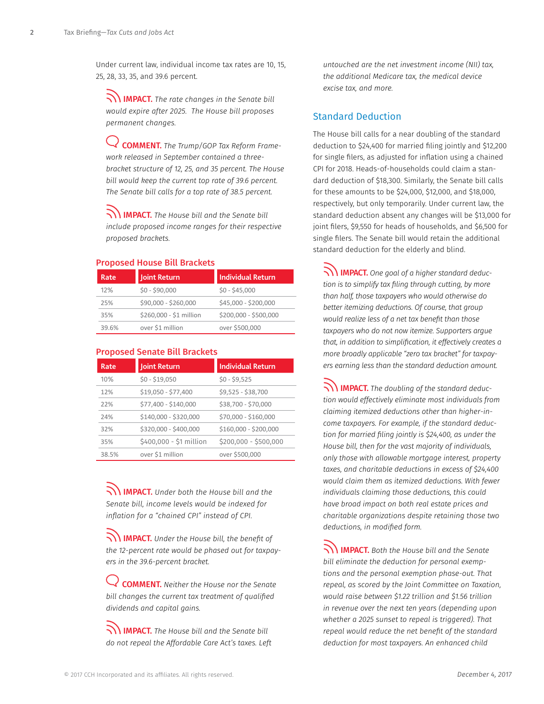Under current law, individual income tax rates are 10, 15, 25, 28, 33, 35, and 39.6 percent.

IMPACT. *The rate changes in the Senate bill would expire after 2025. The House bill proposes permanent changes.*

COMMENT. *The Trump/GOP Tax Reform Framework released in September contained a threebracket structure of 12, 25, and 35 percent. The House bill would keep the current top rate of 39.6 percent. The Senate bill calls for a top rate of 38.5 percent.*

IMPACT. *The House bill and the Senate bill include proposed income ranges for their respective proposed brackets.*

#### Proposed House Bill Brackets

Proposed Senate Bill Brackets

| Rate  | <b>Joint Return</b>     | <b>Individual Return</b> |
|-------|-------------------------|--------------------------|
| 12%   | $$0 - $90,000$          | $$0 - $45,000$           |
| 25%   | \$90,000 - \$260,000    | \$45,000 - \$200,000     |
| 35%   | \$260,000 - \$1 million | \$200,000 - \$500,000    |
| 39.6% | over \$1 million        | over \$500,000           |

| Rate  | <b>Joint Return</b>     | <b>Individual Return</b> |  |
|-------|-------------------------|--------------------------|--|
| 10%   | $$0 - $19,050$          | $$0 - $9,525$            |  |
| 12%   | \$19,050 - \$77,400     | \$9,525 - \$38,700       |  |
| 22%   | \$77,400 - \$140,000    | \$38,700 - \$70,000      |  |
| 24%   | \$140,000 - \$320,000   | \$70,000 - \$160,000     |  |
| 32%   | \$320,000 - \$400,000   | \$160,000 - \$200,000    |  |
| 35%   | \$400,000 - \$1 million | $$200,000 - $500,000$    |  |
| 38.5% | over \$1 million        | over \$500,000           |  |

IMPACT. *Under both the House bill and the Senate bill, income levels would be indexed for inflation for a "chained CPI" instead of CPI.* 

IMPACT. *Under the House bill, the benefit of the 12-percent rate would be phased out for taxpayers in the 39.6-percent bracket.*

COMMENT. *Neither the House nor the Senate bill changes the current tax treatment of qualified dividends and capital gains.*

IMPACT. *The House bill and the Senate bill do not repeal the Affordable Care Act's taxes. Left*  *untouched are the net investment income (NII) tax, the additional Medicare tax, the medical device excise tax, and more.* 

## Standard Deduction

The House bill calls for a near doubling of the standard deduction to \$24,400 for married filing jointly and \$12,200 for single filers, as adjusted for inflation using a chained CPI for 2018. Heads-of-households could claim a standard deduction of \$18,300. Similarly, the Senate bill calls for these amounts to be \$24,000, \$12,000, and \$18,000, respectively, but only temporarily. Under current law, the standard deduction absent any changes will be \$13,000 for joint filers, \$9,550 for heads of households, and \$6,500 for single filers. The Senate bill would retain the additional standard deduction for the elderly and blind.

IMPACT. *One goal of a higher standard deduction is to simplify tax filing through cutting, by more than half, those taxpayers who would otherwise do better itemizing deductions. Of course, that group would realize less of a net tax benefit than those taxpayers who do not now itemize. Supporters argue that, in addition to simplification, it effectively creates a more broadly applicable "zero tax bracket" for taxpayers earning less than the standard deduction amount.*

IMPACT. *The doubling of the standard deduction would effectively eliminate most individuals from claiming itemized deductions other than higher-income taxpayers. For example, if the standard deduction for married filing jointly is \$24,400, as under the House bill, then for the vast majority of individuals, only those with allowable mortgage interest, property taxes, and charitable deductions in excess of \$24,400 would claim them as itemized deductions. With fewer individuals claiming those deductions, this could have broad impact on both real estate prices and charitable organizations despite retaining those two deductions, in modified form.*

IMPACT. *Both the House bill and the Senate bill eliminate the deduction for personal exemptions and the personal exemption phase-out. That repeal, as scored by the Joint Committee on Taxation, would raise between \$1.22 trillion and \$1.56 trillion in revenue over the next ten years (depending upon whether a 2025 sunset to repeal is triggered). That repeal would reduce the net benefit of the standard deduction for most taxpayers. An enhanced child*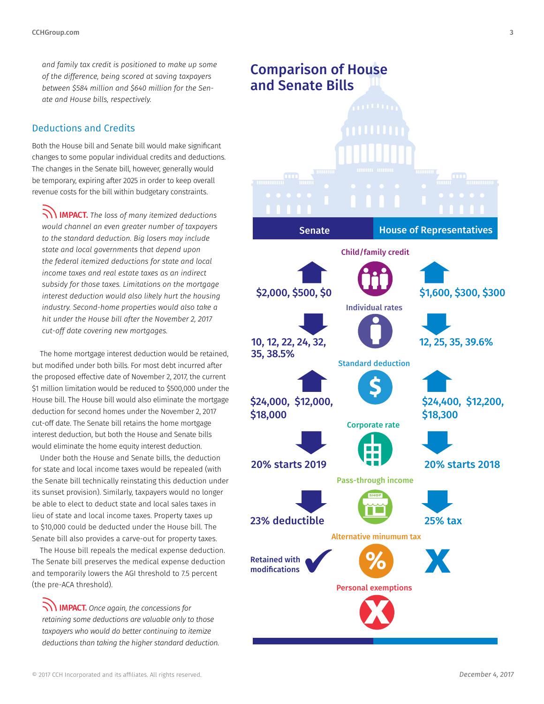*and family tax credit is positioned to make up some of the difference, being scored at saving taxpayers between \$584 million and \$640 million for the Senate and House bills, respectively.*

## Deductions and Credits

Both the House bill and Senate bill would make significant changes to some popular individual credits and deductions. The changes in the Senate bill, however, generally would be temporary, expiring after 2025 in order to keep overall revenue costs for the bill within budgetary constraints.

IMPACT. *The loss of many itemized deductions would channel an even greater number of taxpayers to the standard deduction. Big losers may include state and local governments that depend upon the federal itemized deductions for state and local income taxes and real estate taxes as an indirect subsidy for those taxes. Limitations on the mortgage interest deduction would also likely hurt the housing industry. Second-home properties would also take a hit under the House bill after the November 2, 2017 cut-off date covering new mortgages.*

The home mortgage interest deduction would be retained, but modified under both bills. For most debt incurred after the proposed effective date of November 2, 2017, the current \$1 million limitation would be reduced to \$500,000 under the House bill. The House bill would also eliminate the mortgage deduction for second homes under the November 2, 2017 cut-off date. The Senate bill retains the home mortgage interest deduction, but both the House and Senate bills would eliminate the home equity interest deduction.

Under both the House and Senate bills, the deduction for state and local income taxes would be repealed (with the Senate bill technically reinstating this deduction under its sunset provision). Similarly, taxpayers would no longer be able to elect to deduct state and local sales taxes in lieu of state and local income taxes. Property taxes up to \$10,000 could be deducted under the House bill. The Senate bill also provides a carve-out for property taxes.

The House bill repeals the medical expense deduction. The Senate bill preserves the medical expense deduction and temporarily lowers the AGI threshold to 7.5 percent (the pre-ACA threshold).

IMPACT. *Once again, the concessions for retaining some deductions are valuable only to those taxpayers who would do better continuing to itemize deductions than taking the higher standard deduction.*



Personal exemptions

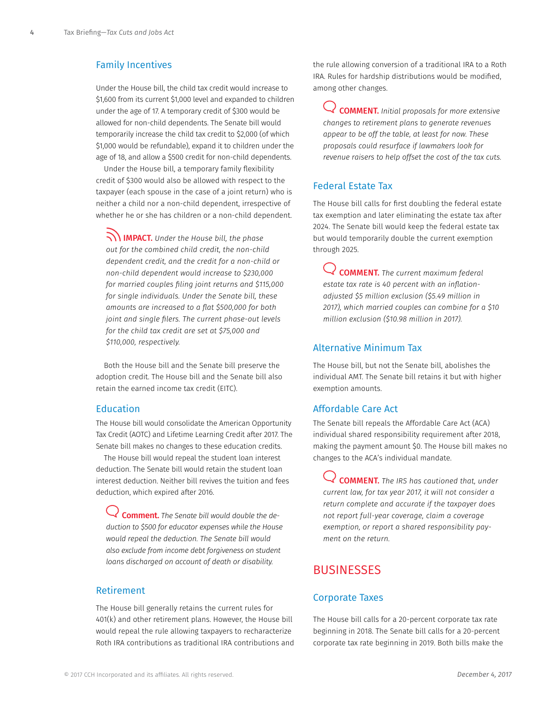## <span id="page-3-0"></span>Family Incentives

Under the House bill, the child tax credit would increase to \$1,600 from its current \$1,000 level and expanded to children under the age of 17. A temporary credit of \$300 would be allowed for non-child dependents. The Senate bill would temporarily increase the child tax credit to \$2,000 (of which \$1,000 would be refundable), expand it to children under the age of 18, and allow a \$500 credit for non-child dependents.

Under the House bill, a temporary family flexibility credit of \$300 would also be allowed with respect to the taxpayer (each spouse in the case of a joint return) who is neither a child nor a non-child dependent, irrespective of whether he or she has children or a non-child dependent.

IMPACT. *Under the House bill, the phase out for the combined child credit, the non-child dependent credit, and the credit for a non-child or non-child dependent would increase to \$230,000 for married couples filing joint returns and \$115,000 for single individuals. Under the Senate bill, these amounts are increased to a flat \$500,000 for both joint and single filers. The current phase-out levels for the child tax credit are set at \$75,000 and \$110,000, respectively.*

Both the House bill and the Senate bill preserve the adoption credit. The House bill and the Senate bill also retain the earned income tax credit (EITC).

#### Education

The House bill would consolidate the American Opportunity Tax Credit (AOTC) and Lifetime Learning Credit after 2017. The Senate bill makes no changes to these education credits.

The House bill would repeal the student loan interest deduction. The Senate bill would retain the student loan interest deduction. Neither bill revives the tuition and fees deduction, which expired after 2016.

Comment. *The Senate bill would double the deduction to \$500 for educator expenses while the House would repeal the deduction. The Senate bill would also exclude from income debt forgiveness on student loans discharged on account of death or disability.* 

#### Retirement

The House bill generally retains the current rules for 401(k) and other retirement plans. However, the House bill would repeal the rule allowing taxpayers to recharacterize Roth IRA contributions as traditional IRA contributions and the rule allowing conversion of a traditional IRA to a Roth IRA. Rules for hardship distributions would be modified, among other changes.

COMMENT. *Initial proposals for more extensive changes to retirement plans to generate revenues appear to be off the table, at least for now. These proposals could resurface if lawmakers look for revenue raisers to help offset the cost of the tax cuts.*

## Federal Estate Tax

The House bill calls for first doubling the federal estate tax exemption and later eliminating the estate tax after 2024. The Senate bill would keep the federal estate tax but would temporarily double the current exemption through 2025.

COMMENT. *The current maximum federal estate tax rate is 40 percent with an inflationadjusted \$5 million exclusion (\$5.49 million in 2017), which married couples can combine for a \$10 million exclusion (\$10.98 million in 2017).*

## Alternative Minimum Tax

The House bill, but not the Senate bill, abolishes the individual AMT. The Senate bill retains it but with higher exemption amounts.

#### Affordable Care Act

The Senate bill repeals the Affordable Care Act (ACA) individual shared responsibility requirement after 2018, making the payment amount \$0. The House bill makes no changes to the ACA's individual mandate.

COMMENT. *The IRS has cautioned that, under current law, for tax year 2017, it will not consider a return complete and accurate if the taxpayer does not report full-year coverage, claim a coverage exemption, or report a shared responsibility payment on the return.*

# **BUSINESSES**

### Corporate Taxes

The House bill calls for a 20-percent corporate tax rate beginning in 2018. The Senate bill calls for a 20-percent corporate tax rate beginning in 2019. Both bills make the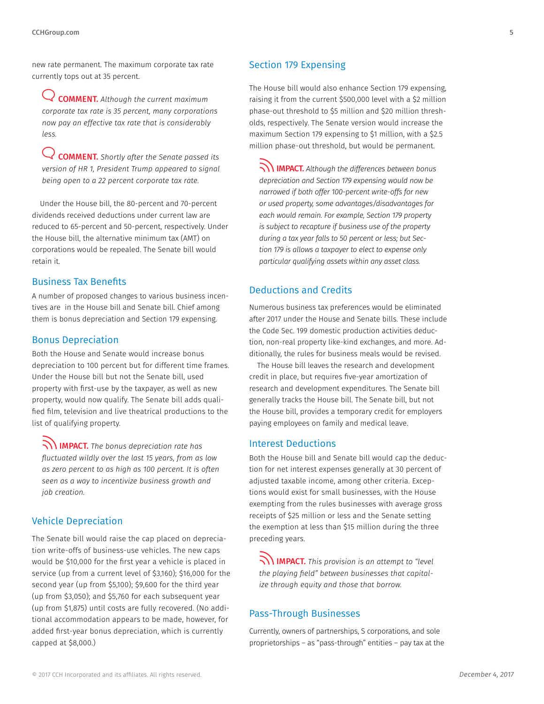new rate permanent. The maximum corporate tax rate currently tops out at 35 percent.

COMMENT. *Although the current maximum corporate tax rate is 35 percent, many corporations now pay an effective tax rate that is considerably less.*

COMMENT. *Shortly after the Senate passed its version of HR 1, President Trump appeared to signal being open to a 22 percent corporate tax rate.*

Under the House bill, the 80-percent and 70-percent dividends received deductions under current law are reduced to 65-percent and 50-percent, respectively. Under the House bill, the alternative minimum tax (AMT) on corporations would be repealed. The Senate bill would retain it.

#### Business Tax Benefits

A number of proposed changes to various business incentives are in the House bill and Senate bill. Chief among them is bonus depreciation and Section 179 expensing.

#### Bonus Depreciation

Both the House and Senate would increase bonus depreciation to 100 percent but for different time frames. Under the House bill but not the Senate bill, used property with first-use by the taxpayer, as well as new property, would now qualify. The Senate bill adds qualified film, television and live theatrical productions to the list of qualifying property.

IMPACT. *The bonus depreciation rate has fluctuated wildly over the last 15 years, from as low as zero percent to as high as 100 percent. It is often seen as a way to incentivize business growth and job creation.* 

## Vehicle Depreciation

The Senate bill would raise the cap placed on depreciation write-offs of business-use vehicles. The new caps would be \$10,000 for the first year a vehicle is placed in service (up from a current level of \$3,160); \$16,000 for the second year (up from \$5,100); \$9,600 for the third year (up from \$3,050); and \$5,760 for each subsequent year (up from \$1,875) until costs are fully recovered. (No additional accommodation appears to be made, however, for added first-year bonus depreciation, which is currently capped at \$8,000.)

## Section 179 Expensing

The House bill would also enhance Section 179 expensing, raising it from the current \$500,000 level with a \$2 million phase-out threshold to \$5 million and \$20 million thresholds, respectively. The Senate version would increase the maximum Section 179 expensing to \$1 million, with a \$2.5 million phase-out threshold, but would be permanent.

IMPACT. *Although the differences between bonus depreciation and Section 179 expensing would now be narrowed if both offer 100-percent write-offs for new or used property, some advantages/disadvantages for each would remain. For example, Section 179 property is subject to recapture if business use of the property during a tax year falls to 50 percent or less; but Section 179 is allows a taxpayer to elect to expense only particular qualifying assets within any asset class.*

## Deductions and Credits

Numerous business tax preferences would be eliminated after 2017 under the House and Senate bills. These include the Code Sec. 199 domestic production activities deduction, non-real property like-kind exchanges, and more. Additionally, the rules for business meals would be revised.

The House bill leaves the research and development credit in place, but requires five-year amortization of research and development expenditures. The Senate bill generally tracks the House bill. The Senate bill, but not the House bill, provides a temporary credit for employers paying employees on family and medical leave.

#### Interest Deductions

Both the House bill and Senate bill would cap the deduction for net interest expenses generally at 30 percent of adjusted taxable income, among other criteria. Exceptions would exist for small businesses, with the House exempting from the rules businesses with average gross receipts of \$25 million or less and the Senate setting the exemption at less than \$15 million during the three preceding years.

IMPACT. *This provision is an attempt to "level the playing field" between businesses that capitalize through equity and those that borrow.*

## Pass-Through Businesses

Currently, owners of partnerships, S corporations, and sole proprietorships – as "pass-through" entities – pay tax at the